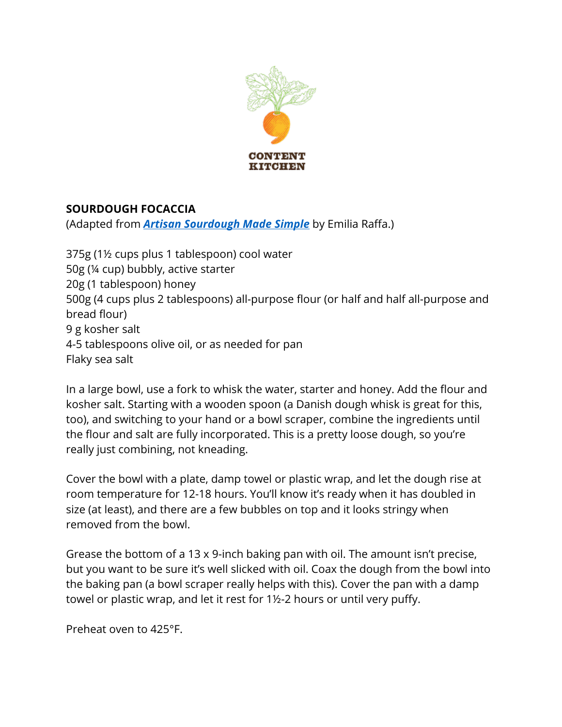

## **SOURDOUGH FOCACCIA**

(Adapted from *Artisan Sourdough Made Simple* by Emilia Raffa.)

375g (1½ cups plus 1 tablespoon) cool water 50g (¼ cup) bubbly, active starter 20g (1 tablespoon) honey 500g (4 cups plus 2 tablespoons) all-purpose flour (or half and half all-purpose and bread flour) 9 g kosher salt 4-5 tablespoons olive oil, or as needed for pan Flaky sea salt

In a large bowl, use a fork to whisk the water, starter and honey. Add the flour and kosher salt. Starting with a wooden spoon (a Danish dough whisk is great for this, too), and switching to your hand or a bowl scraper, combine the ingredients until the flour and salt are fully incorporated. This is a pretty loose dough, so you're really just combining, not kneading.

Cover the bowl with a plate, damp towel or plastic wrap, and let the dough rise at room temperature for 12-18 hours. You'll know it's ready when it has doubled in size (at least), and there are a few bubbles on top and it looks stringy when removed from the bowl.

Grease the bottom of a 13 x 9-inch baking pan with oil. The amount isn't precise, but you want to be sure it's well slicked with oil. Coax the dough from the bowl into the baking pan (a bowl scraper really helps with this). Cover the pan with a damp towel or plastic wrap, and let it rest for 1½-2 hours or until very puffy.

Preheat oven to 425°F.